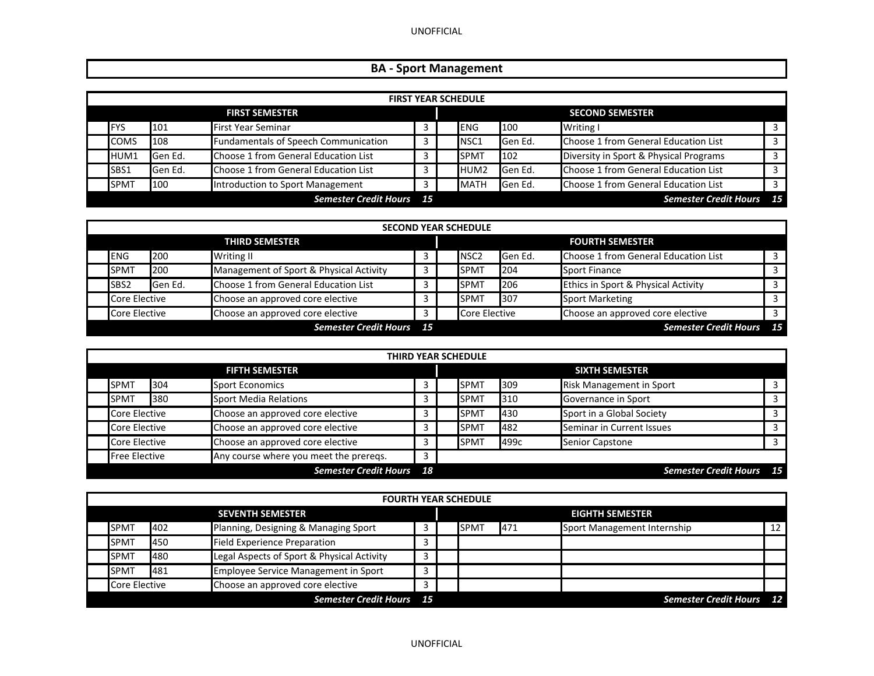UNOFFICIAL

## **BA ‐ Sport Management**

| <b>FIRST YEAR SCHEDULE</b> |                  |                                             |      |  |                  |                        |                                        |     |  |  |  |
|----------------------------|------------------|---------------------------------------------|------|--|------------------|------------------------|----------------------------------------|-----|--|--|--|
| <b>FIRST SEMESTER</b>      |                  |                                             |      |  |                  | <b>SECOND SEMESTER</b> |                                        |     |  |  |  |
| <b>IFYS</b>                | 101              | <b>First Year Seminar</b>                   |      |  | <b>ENG</b>       | 100                    | Writing I                              |     |  |  |  |
| <b>COMS</b>                | 108              | <b>Fundamentals of Speech Communication</b> | 3    |  | NSC <sub>1</sub> | Gen Ed.                | Choose 1 from General Education List   |     |  |  |  |
| HUM1                       | <b>I</b> Gen Ed. | Choose 1 from General Education List        |      |  | <b>SPMT</b>      | 102                    | Diversity in Sport & Physical Programs |     |  |  |  |
| SBS1                       | <b>Gen Ed.</b>   | Choose 1 from General Education List        |      |  | HUM <sub>2</sub> | Gen Ed.                | Choose 1 from General Education List   |     |  |  |  |
| <b>SPMT</b>                | 100              | Introduction to Sport Management            |      |  | <b>MATH</b>      | Gen Ed.                | Choose 1 from General Education List   |     |  |  |  |
|                            |                  | <b>Semester Credit Hours</b>                | - 15 |  |                  |                        | <b>Semester Credit Hours</b>           | -15 |  |  |  |

| <b>SECOND YEAR SCHEDULE</b> |         |                                         |  |  |                        |         |                                      |    |  |  |
|-----------------------------|---------|-----------------------------------------|--|--|------------------------|---------|--------------------------------------|----|--|--|
| <b>THIRD SEMESTER</b>       |         |                                         |  |  | <b>FOURTH SEMESTER</b> |         |                                      |    |  |  |
| <b>ENG</b>                  | 200     | <b>Writing II</b>                       |  |  | NSC <sub>2</sub>       | Gen Ed. | Choose 1 from General Education List |    |  |  |
| <b>SPMT</b>                 | 200     | Management of Sport & Physical Activity |  |  | <b>SPMT</b>            | 204     | <b>Sport Finance</b>                 |    |  |  |
| SBS <sub>2</sub>            | Gen Ed. | Choose 1 from General Education List    |  |  | <b>SPMT</b>            | 206     | Ethics in Sport & Physical Activity  |    |  |  |
| <b>Core Elective</b>        |         | Choose an approved core elective        |  |  | <b>SPMT</b>            | 307     | <b>Sport Marketing</b>               |    |  |  |
| Core Elective               |         | Choose an approved core elective        |  |  | Core Elective          |         | Choose an approved core elective     |    |  |  |
|                             |         | <b>Semester Credit Hours</b> 15         |  |  |                        |         | <b>Semester Credit Hours</b>         | 15 |  |  |

| <b>THIRD YEAR SCHEDULE</b> |                       |     |                                        |    |  |                       |      |                                 |      |  |  |  |
|----------------------------|-----------------------|-----|----------------------------------------|----|--|-----------------------|------|---------------------------------|------|--|--|--|
|                            | <b>FIFTH SEMESTER</b> |     |                                        |    |  | <b>SIXTH SEMESTER</b> |      |                                 |      |  |  |  |
|                            | <b>SPMT</b>           | 304 | <b>Sport Economics</b>                 |    |  | <b>SPMT</b>           | 309  | <b>Risk Management in Sport</b> |      |  |  |  |
|                            | <b>SPMT</b>           | 380 | <b>Sport Media Relations</b>           |    |  | <b>SPMT</b>           | 310  | Governance in Sport             |      |  |  |  |
|                            | <b>Core Elective</b>  |     | Choose an approved core elective       |    |  | <b>SPMT</b>           | 430  | Sport in a Global Society       |      |  |  |  |
|                            | Core Elective         |     | Choose an approved core elective       |    |  | <b>SPMT</b>           | 482  | Seminar in Current Issues       |      |  |  |  |
|                            | Core Elective         |     | Choose an approved core elective       |    |  | <b>SPMT</b>           | 499с | Senior Capstone                 |      |  |  |  |
|                            | <b>Free Elective</b>  |     | Any course where you meet the preregs. | 3  |  |                       |      |                                 |      |  |  |  |
|                            |                       |     | <b>Semester Credit Hours</b>           | 18 |  |                       |      | <b>Semester Credit Hours</b>    | - 15 |  |  |  |

| <b>FOURTH YEAR SCHEDULE</b> |     |                                             |   |  |             |     |                              |    |
|-----------------------------|-----|---------------------------------------------|---|--|-------------|-----|------------------------------|----|
|                             |     | <b>SEVENTH SEMESTER</b>                     |   |  |             |     | <b>EIGHTH SEMESTER</b>       |    |
| <b>SPMT</b>                 | 402 | Planning, Designing & Managing Sport        |   |  | <b>SPMT</b> | 471 | Sport Management Internship  | 12 |
| <b>SPMT</b>                 | 450 | <b>Field Experience Preparation</b>         |   |  |             |     |                              |    |
| <b>SPMT</b>                 | 480 | Legal Aspects of Sport & Physical Activity  |   |  |             |     |                              |    |
| <b>SPMT</b>                 | 481 | <b>Employee Service Management in Sport</b> | 3 |  |             |     |                              |    |
| Core Elective               |     | Choose an approved core elective            | 3 |  |             |     |                              |    |
|                             |     | <b>Semester Credit Hours</b> 15             |   |  |             |     | <b>Semester Credit Hours</b> | 12 |